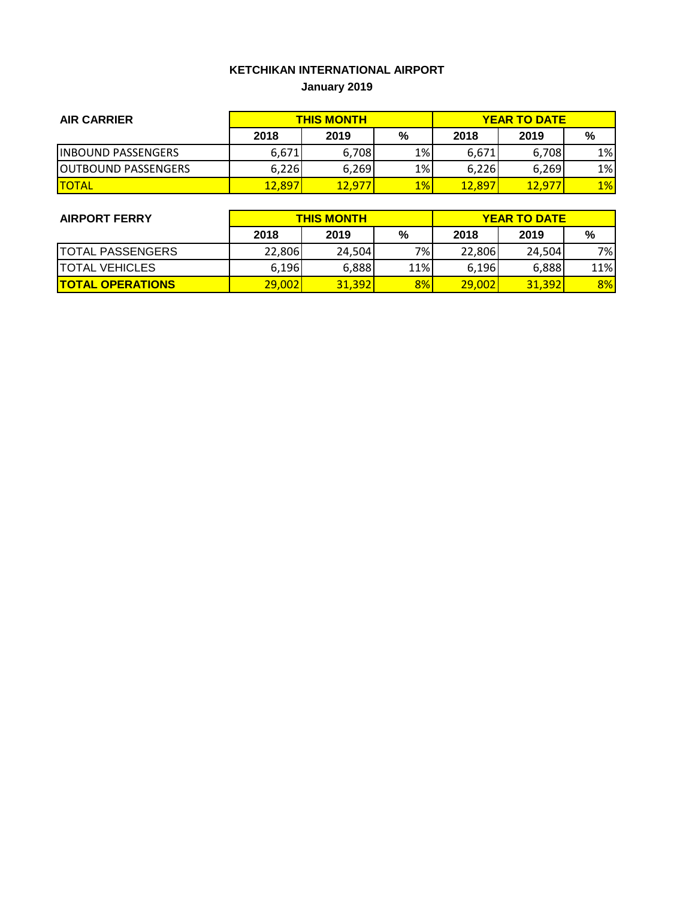# **KETCHIKAN INTERNATIONAL AIRPORT January 2019**

| <b>AIR CARRIER</b>         | <b>THIS MONTH</b> |        |       | <b>YEAR TO DATE</b> |        |       |
|----------------------------|-------------------|--------|-------|---------------------|--------|-------|
|                            | 2018              | 2019   | %     | 2018                | 2019   | %     |
| <b>IINBOUND PASSENGERS</b> | 6,671             | 6,708  | 1%    | 6,671               | 6.708  | 1%    |
| <b>OUTBOUND PASSENGERS</b> | 6,226             | 6,269  | $1\%$ | 6.226               | 6,269  | $1\%$ |
| <b>ITOTAL</b>              | 12,897            | 12.977 | $1\%$ | 12,897              | 12.977 | $1\%$ |

| <b>AIRPORT FERRY</b>    | <b>THIS MONTH</b> |        |     | <b>YEAR TO DATE</b> |        |     |  |
|-------------------------|-------------------|--------|-----|---------------------|--------|-----|--|
|                         | 2018              | 2019   | %   | 2018                | 2019   | %   |  |
| <b>TOTAL PASSENGERS</b> | 22,806            | 24,504 | 7%  | 22,806              | 24,504 | 7%  |  |
| <b>TOTAL VEHICLES</b>   | 6,196             | 6,888  | 11% | 6,196               | 6,888  | 11% |  |
| <b>TOTAL OPERATIONS</b> | 29,002            | 31.392 | 8%  | 29,002              | 31.392 | 8%  |  |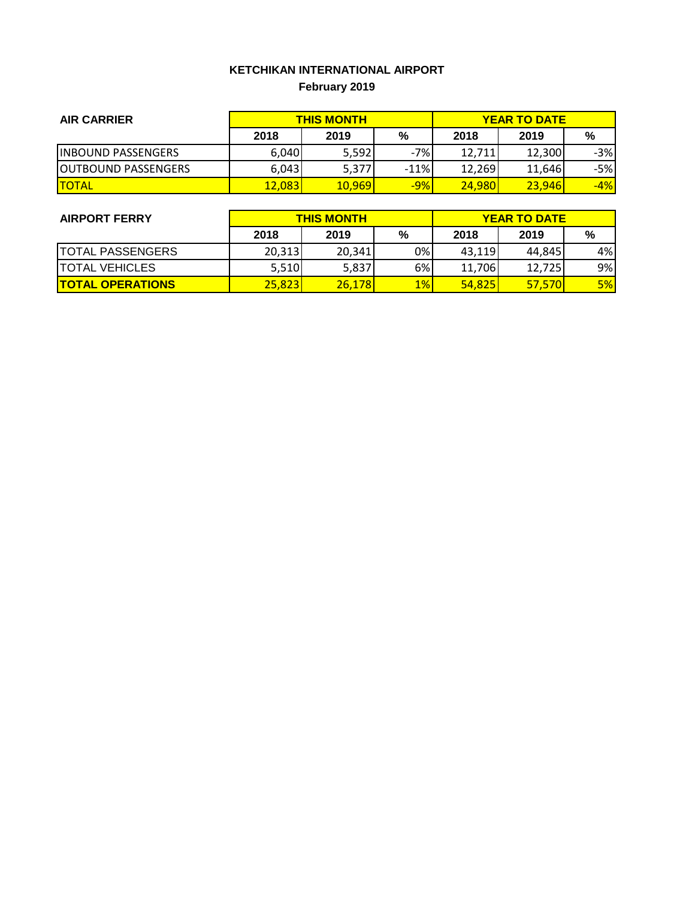# **KETCHIKAN INTERNATIONAL AIRPORT February 2019**

| <b>AIR CARRIER</b>          | <b>THIS MONTH</b> |        |        | <b>YEAR TO DATE</b> |        |       |
|-----------------------------|-------------------|--------|--------|---------------------|--------|-------|
|                             | 2018              | 2019   | %      | 2018                | 2019   | %     |
| <b>IINBOUND PASSENGERS</b>  | 6,040             | 5,592  | $-7%$  | 12,711              | 12,300 | $-3%$ |
| <b>JOUTBOUND PASSENGERS</b> | 6,043             | 5,377  | $-11%$ | 12.269              | 11,646 | $-5%$ |
| <b>TOTAL</b>                | 12,083            | 10,969 | $-9%$  | 24,980              | 23,946 | $-4%$ |

| <b>AIRPORT FERRY</b>    | <b>THIS MONTH</b> |        |       | <b>YEAR TO DATE</b> |        |    |  |
|-------------------------|-------------------|--------|-------|---------------------|--------|----|--|
|                         | 2018              | 2019   | %     | 2018                | 2019   | %  |  |
| <b>TOTAL PASSENGERS</b> | 20,313            | 20,341 | 0%    | 43,119              | 44,845 | 4% |  |
| <b>TOTAL VEHICLES</b>   | 5,510             | 5,837  | 6%    | 11,706              | 12,725 | 9% |  |
| <b>TOTAL OPERATIONS</b> | 25,823            | 26,178 | $1\%$ | 54,825              | 57.570 | 5% |  |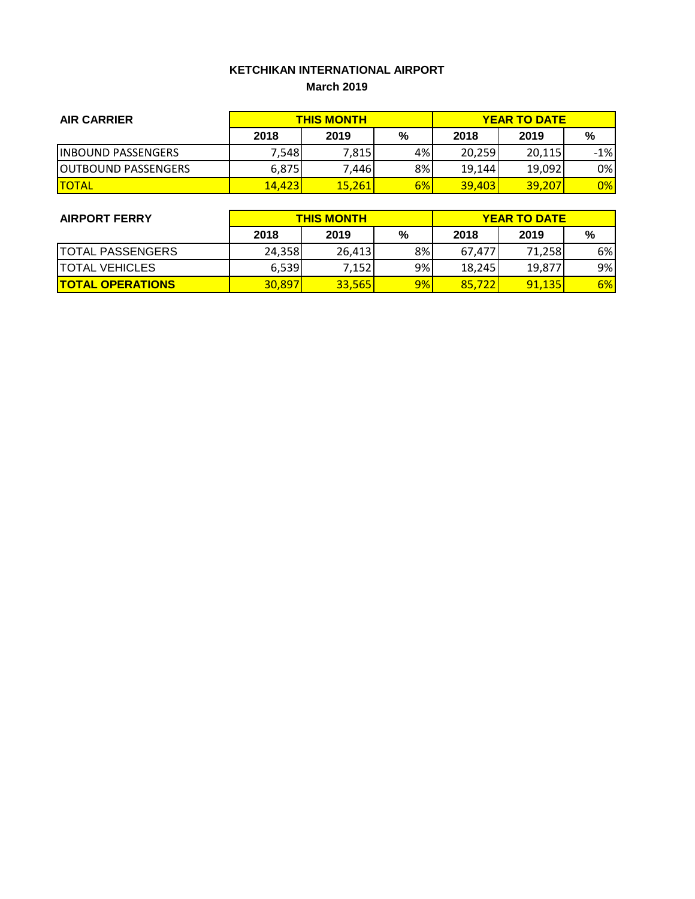### **KETCHIKAN INTERNATIONAL AIRPORT March 2019**

| <b>AIR CARRIER</b>          | <b>THIS MONTH</b> |        |    | <b>YEAR TO DATE</b> |        |        |
|-----------------------------|-------------------|--------|----|---------------------|--------|--------|
|                             | 2018              | 2019   | %  | 2018                | 2019   | %      |
| <b>IINBOUND PASSENGERS</b>  | 7,548             | 7,815  | 4% | 20,259              | 20,115 | $-1\%$ |
| <b>JOUTBOUND PASSENGERS</b> | 6,875             | 7,446  | 8% | 19,144              | 19,092 | $0\%$  |
| <b>ITOTAL</b>               | <b>14.423</b>     | 15,261 | 6% | 39.403              | 39,207 | 0%     |

| <b>AIRPORT FERRY</b>    | <b>THIS MONTH</b> |        |    | <b>YEAR TO DATE</b> |        |    |  |
|-------------------------|-------------------|--------|----|---------------------|--------|----|--|
|                         | 2018              | 2019   | %  | 2018                | 2019   | %  |  |
| <b>TOTAL PASSENGERS</b> | 24,358            | 26.413 | 8% | 67.477              | 71.258 | 6% |  |
| <b>TOTAL VEHICLES</b>   | 6,539             | 7,152  | 9% | 18.245              | 19.877 | 9% |  |
| <b>TOTAL OPERATIONS</b> | 30,897            | 33,565 | 9% | 85.722              | 91.135 | 6% |  |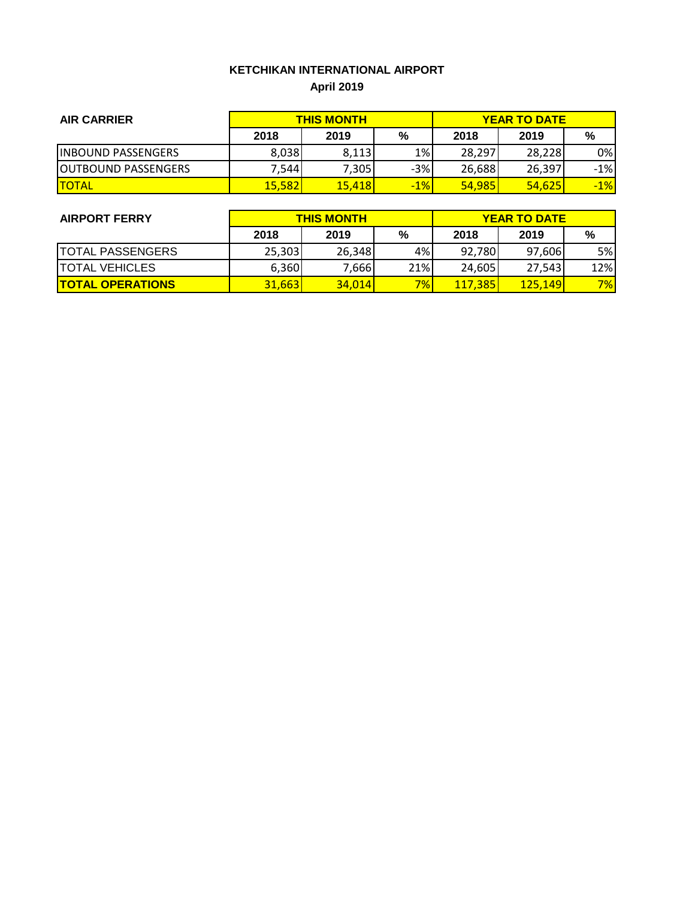# **KETCHIKAN INTERNATIONAL AIRPORT April 2019**

| <b>AIR CARRIER</b>         | <b>THIS MONTH</b> |        |       | <b>YEAR TO DATE</b> |        |       |
|----------------------------|-------------------|--------|-------|---------------------|--------|-------|
|                            | 2018              | 2019   | %     | 2018                | 2019   | %     |
| <b>IINBOUND PASSENGERS</b> | 8,038             | 8,113  | $1\%$ | 28,297              | 28,228 | 0%I   |
| <b>OUTBOUND PASSENGERS</b> | 7,544             | 7,305  | $-3%$ | 26,688              | 26,397 | $-1%$ |
| <b>TOTAL</b>               | <b>15,582</b>     | 15,418 | $-1%$ | <b>54,985</b>       | 54,625 | $-1%$ |

| <b>AIRPORT FERRY</b>    | <b>THIS MONTH</b> |        |       | <b>YEAR TO DATE</b> |                |     |  |
|-------------------------|-------------------|--------|-------|---------------------|----------------|-----|--|
|                         | 2018              | 2019   | %     | 2018                | 2019           | %   |  |
| <b>TOTAL PASSENGERS</b> | 25,303            | 26,348 | 4%    | 92,780              | 97,606         | 5%I |  |
| <b>TOTAL VEHICLES</b>   | 6,360             | 7,666  | 21%   | 24,605              | 27,543         | 12% |  |
| <b>TOTAL OPERATIONS</b> | 31,663            | 34.014 | $7\%$ | <b>117,385</b>      | <u>125.149</u> | 7%  |  |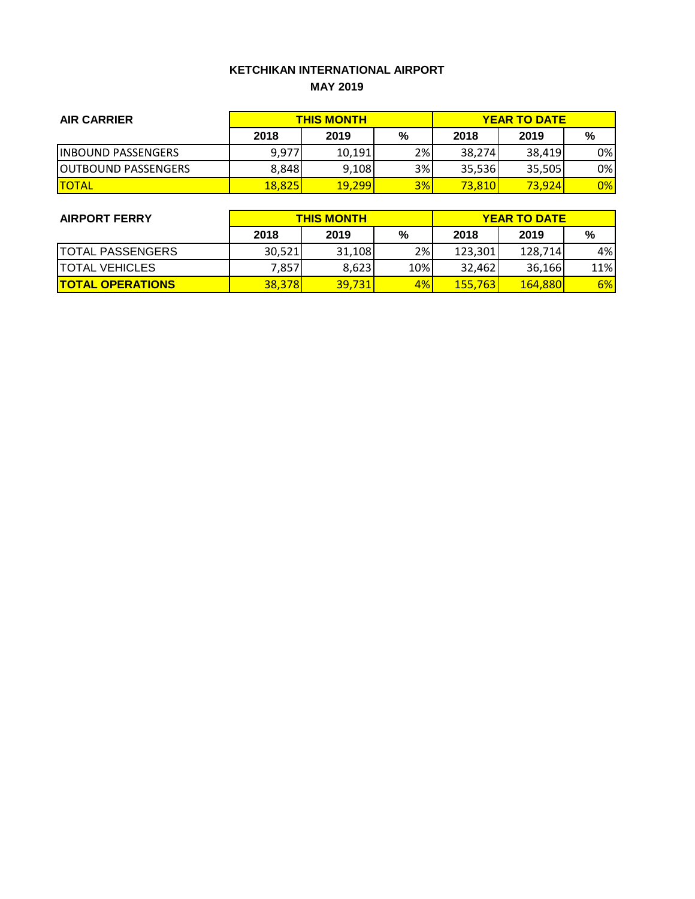#### **KETCHIKAN INTERNATIONAL AIRPORT MAY 2019**

| <b>AIR CARRIER</b>          | <b>THIS MONTH</b> |        |    | <b>YEAR TO DATE</b> |                |     |
|-----------------------------|-------------------|--------|----|---------------------|----------------|-----|
|                             | 2018              | 2019   | %  | 2018                | 2019           | %   |
| <b>IINBOUND PASSENGERS</b>  | 9,977             | 10,191 | 2% | 38,274              | 38,419         | 0%I |
| <b>IOUTBOUND PASSENGERS</b> | 8,848             | 9,108  | 3% | 35,536              | 35,505         | 0%  |
| <b>ITOTAL</b>               | <b>18,825</b>     | 19,299 | 3% | <b>73.810</b>       | <b>73.9241</b> | 0%  |

| <b>AIRPORT FERRY</b>    | <b>THIS MONTH</b> |        |     | <b>YEAR TO DATE</b> |                 |     |  |
|-------------------------|-------------------|--------|-----|---------------------|-----------------|-----|--|
|                         | 2018              | 2019   | %   | 2018                | 2019            | %   |  |
| <b>TOTAL PASSENGERS</b> | 30,521            | 31,108 | 2%  | 123,301             | 128,714         | 4%  |  |
| <b>TOTAL VEHICLES</b>   | 7,857             | 8,623  | 10% | 32.462              | 36,166          | 11% |  |
| <b>TOTAL OPERATIONS</b> | 38,378            | 39,731 | 4%  | <b>155,763</b>      | <b>164.8801</b> | 6%  |  |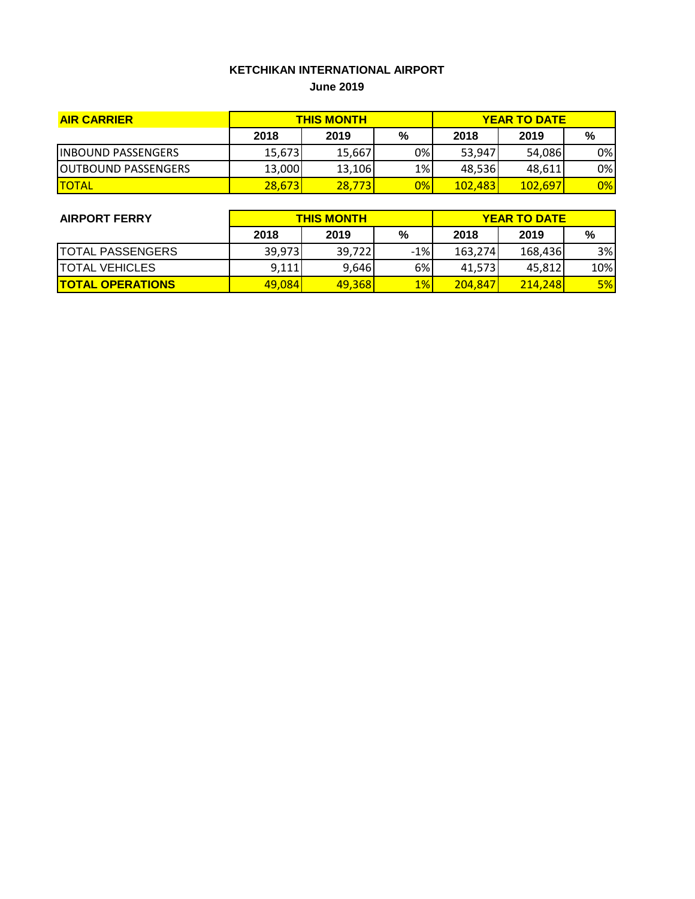#### **KETCHIKAN INTERNATIONAL AIRPORT June 2019**

| <b>AIR CARRIER</b>          | <b>THIS MONTH</b> |        |    | <b>YEAR TO DATE</b> |         |     |
|-----------------------------|-------------------|--------|----|---------------------|---------|-----|
|                             | 2018              | 2019   | %  | 2018                | 2019    | %   |
| <b>IINBOUND PASSENGERS</b>  | 15,673            | 15,667 | 0% | 53,947              | 54,086  | 0%I |
| <b>IOUTBOUND PASSENGERS</b> | 13,000            | 13,106 | 1% | 48,536              | 48.611  | 0%  |
| <b>ITOTAL</b>               | 28,673            | 28.773 | 0% | <b>102.4831</b>     | 102.697 | 0%  |

| <b>AIRPORT FERRY</b>    | <b>THIS MONTH</b> |        |       | <b>YEAR TO DATE</b> |         |     |  |
|-------------------------|-------------------|--------|-------|---------------------|---------|-----|--|
|                         | 2018              | 2019   | %     | 2018                | 2019    | %   |  |
| <b>TOTAL PASSENGERS</b> | 39,973            | 39,722 | $-1%$ | 163,274             | 168,436 | 3%  |  |
| <b>TOTAL VEHICLES</b>   | 9,111             | 9,646  | 6%    | 41,573              | 45.812  | 10% |  |
| <b>TOTAL OPERATIONS</b> | 49,084            | 49,368 | $1\%$ | 204.847             | 214.248 | 5%  |  |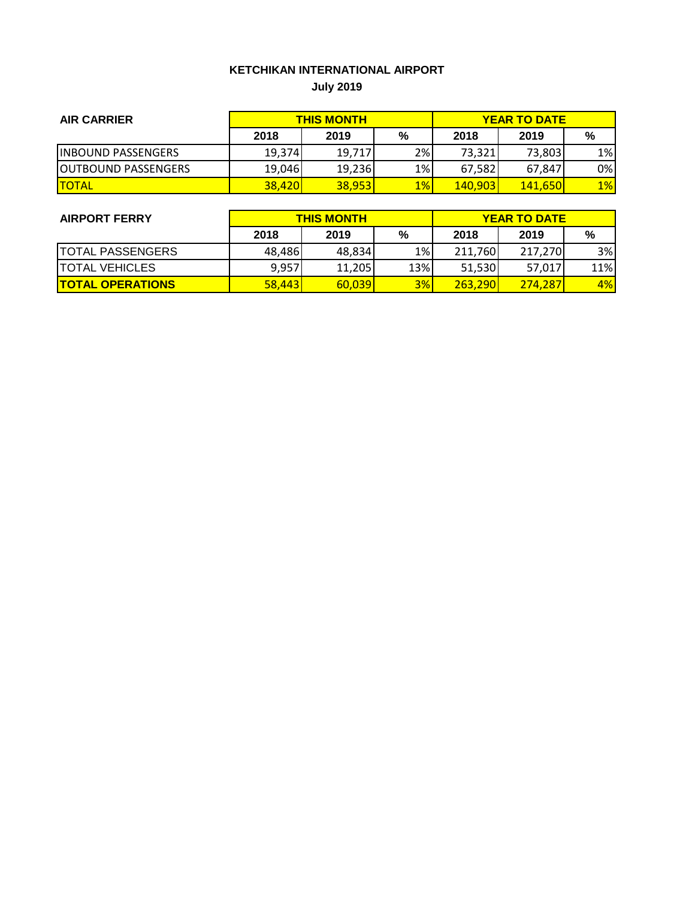# **KETCHIKAN INTERNATIONAL AIRPORT July 2019**

| <b>AIR CARRIER</b>          | <b>THIS MONTH</b> |        |       | <b>YEAR TO DATE</b> |                 |       |
|-----------------------------|-------------------|--------|-------|---------------------|-----------------|-------|
|                             | 2018              | 2019   | %     | 2018                | 2019            | %     |
| <b>IINBOUND PASSENGERS</b>  | 19,374            | 19,717 | 2%    | 73,321              | 73,803          | $1\%$ |
| <b>JOUTBOUND PASSENGERS</b> | 19,046            | 19,236 | 1%    | 67,582              | 67,847          | $0\%$ |
| <b>TOTAL</b>                | <b>38,420</b>     | 38,953 | $1\%$ | <b>140,903</b>      | <b>141.6501</b> | $1\%$ |

| <b>AIRPORT FERRY</b>    | <b>THIS MONTH</b> |        |     | <b>YEAR TO DATE</b> |         |           |  |
|-------------------------|-------------------|--------|-----|---------------------|---------|-----------|--|
|                         | 2018              | 2019   | %   | 2018                | 2019    | %         |  |
| <b>TOTAL PASSENGERS</b> | 48,486            | 48,834 | 1%  | 211,760             | 217,270 | 3%        |  |
| <b>TOTAL VEHICLES</b>   | 9,957             | 11,205 | 13% | 51,530              | 57,017  | 11%       |  |
| <b>TOTAL OPERATIONS</b> | 58,443            | 60,039 | 3%  | 263,290             | 274.287 | <b>4%</b> |  |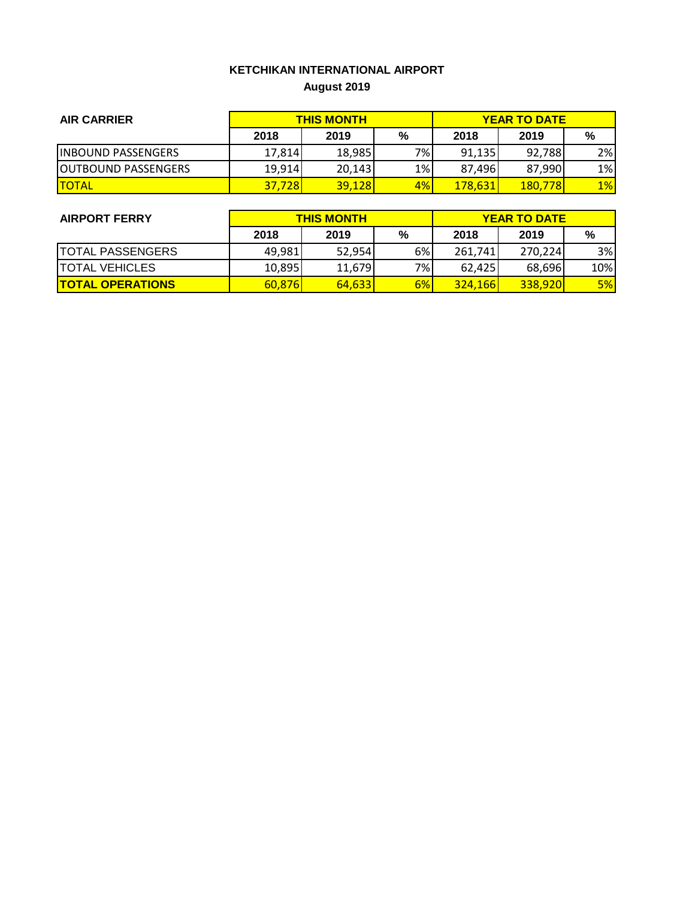# **KETCHIKAN INTERNATIONAL AIRPORT August 2019**

| <b>AIR CARRIER</b>          | <b>THIS MONTH</b> |        |    | <b>YEAR TO DATE</b>  |                |       |
|-----------------------------|-------------------|--------|----|----------------------|----------------|-------|
|                             | 2018              | 2019   | %  | 2018                 | 2019           | %     |
| <b>IINBOUND PASSENGERS</b>  | 17,814            | 18,985 | 7% | 91,135               | 92.788         | 2%    |
| <b>JOUTBOUND PASSENGERS</b> | 19,914            | 20.143 | 1% | 87,496               | 87,990         | 1%    |
| <b>TOTAL</b>                | <b>37,728</b>     | 39,128 | 4% | <mark>178,631</mark> | <b>180,778</b> | $1\%$ |

| <b>AIRPORT FERRY</b>    | <b>THIS MONTH</b> |        |    | <b>YEAR TO DATE</b> |                |     |  |
|-------------------------|-------------------|--------|----|---------------------|----------------|-----|--|
|                         | 2018              | 2019   | %  | 2018                | 2019           | %   |  |
| <b>TOTAL PASSENGERS</b> | 49,981            | 52,954 | 6% | 261,741             | 270.224        | 3%  |  |
| <b>TOTAL VEHICLES</b>   | 10,895            | 11,679 | 7% | 62.4251             | 68,696         | 10% |  |
| <b>TOTAL OPERATIONS</b> | 60,876            | 64,633 | 6% | <b>324,166</b>      | <b>338,920</b> | 5%  |  |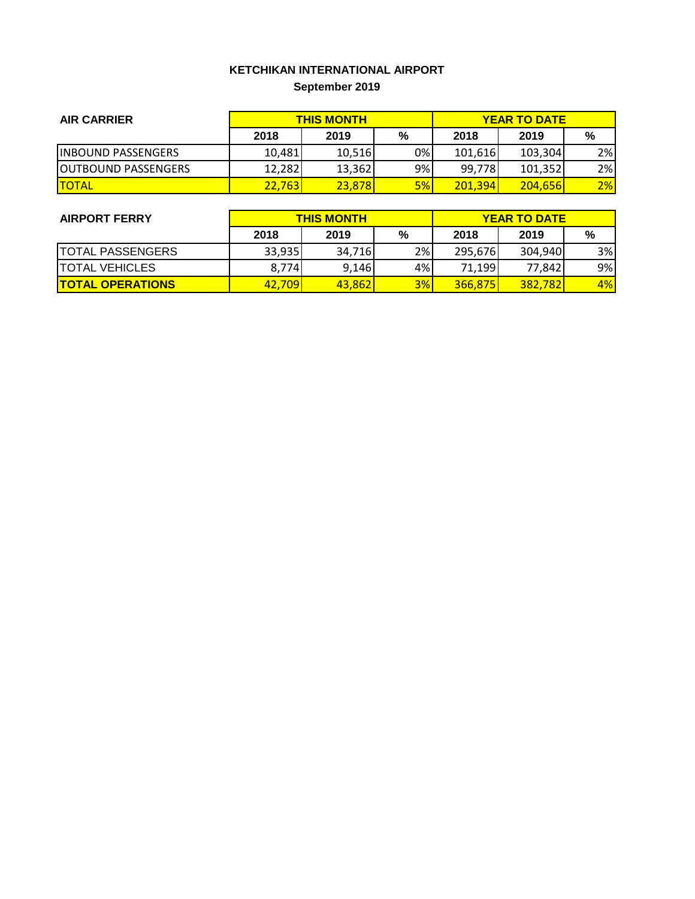# **KETCHIKAN INTERNATIONAL AIRPORT September 2019**

| <b>AIR CARRIER</b>         | <b>THIS MONTH</b> |        |    | <b>YEAR TO DATE</b> |                 |    |
|----------------------------|-------------------|--------|----|---------------------|-----------------|----|
|                            | 2018              | 2019   | %  | 2018                | 2019            | %  |
| <b>INBOUND PASSENGERS</b>  | 10.481            | 10.516 | 0% | 101,616             | 103,304         | 2% |
| <b>OUTBOUND PASSENGERS</b> | 12.282            | 13,362 | 9% | 99,778              | 101.352         | 2% |
| <b>TOTAL</b>               | <b>22.7631</b>    | 23,878 | 5% | 201,394             | <b>204.6561</b> | 2% |

| <b>AIRPORT FERRY</b>    | <b>THIS MONTH</b> |        |    | <b>YEAR TO DATE</b> |         |    |  |
|-------------------------|-------------------|--------|----|---------------------|---------|----|--|
|                         | 2018              | 2019   | %  | 2018                | 2019    | %  |  |
| <b>TOTAL PASSENGERS</b> | 33,935            | 34,716 | 2% | 295,676             | 304,940 | 3% |  |
| <b>TOTAL VEHICLES</b>   | 8,774             | 9,146  | 4% | 71,199              | 77,842  | 9% |  |
| <b>TOTAL OPERATIONS</b> | 42.709            | 43,862 | 3% | 366.875             | 382,782 | 4% |  |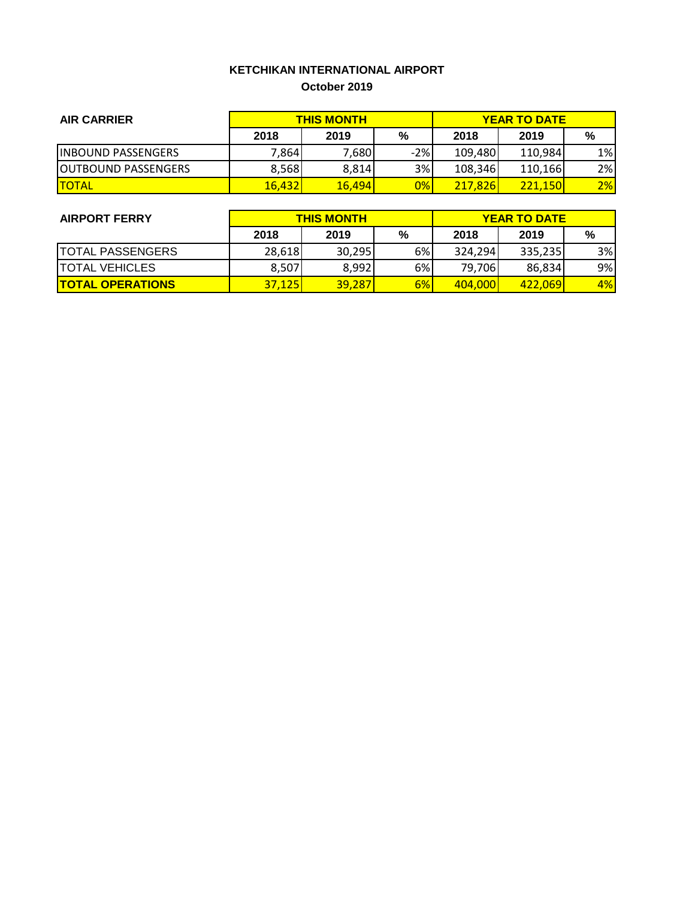### **KETCHIKAN INTERNATIONAL AIRPORT October 2019**

| <b>AIR CARRIER</b>          | <b>THIS MONTH</b> |        |       | <b>YEAR TO DATE</b> |         |       |
|-----------------------------|-------------------|--------|-------|---------------------|---------|-------|
|                             | 2018              | 2019   | %     | 2018                | 2019    | %     |
| <b>INBOUND PASSENGERS</b>   | 7,864             | 7,680  | $-2%$ | 109,480             | 110.984 | $1\%$ |
| <b>JOUTBOUND PASSENGERS</b> | 8,568             | 8,814  | 3%    | 108,346             | 110,166 | 2%    |
| <b>ITOTAL</b>               | 16,432            | 16,494 | 0%    | 217,826             | 221,150 | 2%    |

| <b>AIRPORT FERRY</b>    | <b>THIS MONTH</b> |        |    | <b>YEAR TO DATE</b> |                 |    |  |
|-------------------------|-------------------|--------|----|---------------------|-----------------|----|--|
|                         | 2018              | 2019   | %  | 2018                | 2019            | %  |  |
| <b>TOTAL PASSENGERS</b> | 28,618            | 30,295 | 6% | 324,294             | 335,235         | 3% |  |
| <b>TOTAL VEHICLES</b>   | 8,507             | 8,992  | 6% | 79,706              | 86,834          | 9% |  |
| <b>TOTAL OPERATIONS</b> | <b>37.1251</b>    | 39,287 | 6% | 404,000             | <u>422.0691</u> | 4% |  |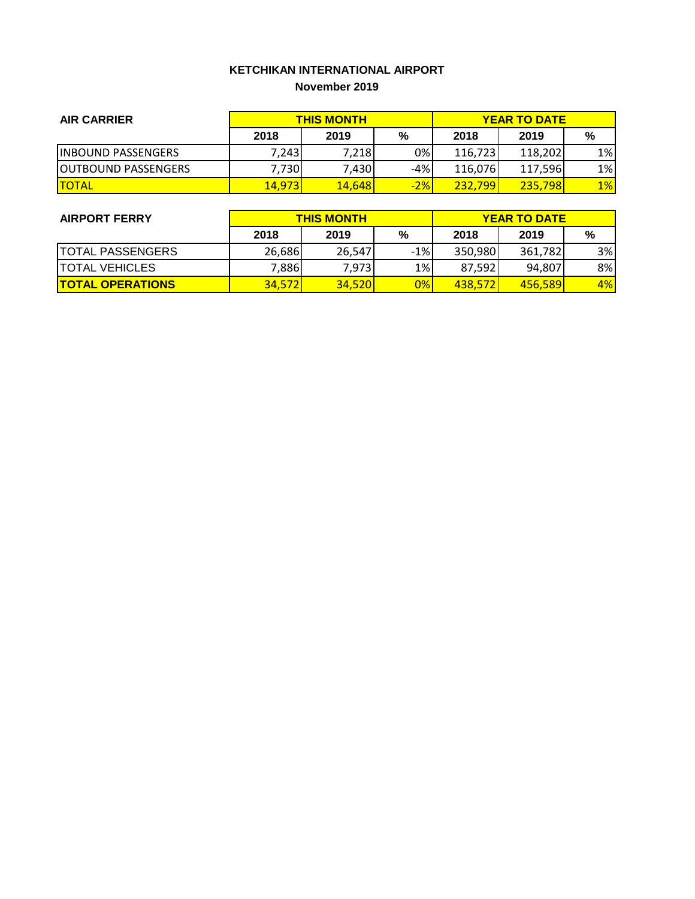#### **KETCHIKAN INTERNATIONAL AIRPORT November 2019**

| <b>AIR CARRIER</b>         | <b>THIS MONTH</b> |               |       | <b>YEAR TO DATE</b> |         |       |
|----------------------------|-------------------|---------------|-------|---------------------|---------|-------|
|                            | 2018              | 2019          | %     | 2018                | 2019    | %     |
| <b>IINBOUND PASSENGERS</b> | 7.2431            | 7,218         | 0%    | 116,723             | 118,202 | $1\%$ |
| <b>OUTBOUND PASSENGERS</b> | 7,730             | 7,430         | $-4%$ | 116,076             | 117,596 | 1%    |
| <b>ITOTAL</b>              | 14,973            | <b>14,648</b> | $-2%$ | 232,799             | 235,798 | $1\%$ |

| <b>AIRPORT FERRY</b>    | <b>THIS MONTH</b> |        |       | <b>YEAR TO DATE</b> |                 |    |  |
|-------------------------|-------------------|--------|-------|---------------------|-----------------|----|--|
|                         | 2018              | 2019   | %     | 2018                | 2019            | %  |  |
| <b>TOTAL PASSENGERS</b> | 26,686            | 26,547 | $-1%$ | 350,980             | 361,782         | 3% |  |
| <b>TOTAL VEHICLES</b>   | 7,886             | 7,973  | 1%    | 87,592              | 94,807          | 8% |  |
| <b>TOTAL OPERATIONS</b> | <b>34,572</b>     | 34.520 | $0\%$ | 438.572             | <b>456.5891</b> | 4% |  |